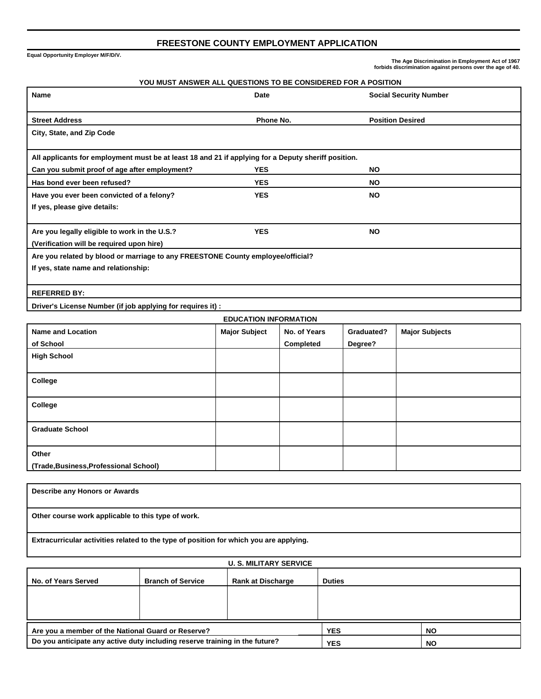## **FREESTONE COUNTY EMPLOYMENT APPLICATION**

**Equal Opportunity Employer M/F/D/V.**

 **The Age Discrimination in Employment Act of 1967 forbids discrimination against persons over the age of 40.** 

| <b>Name</b>                                                                                         | Date<br><b>Social Security Number</b> |              |            |                         |  |  |
|-----------------------------------------------------------------------------------------------------|---------------------------------------|--------------|------------|-------------------------|--|--|
| <b>Street Address</b>                                                                               | Phone No.                             |              |            | <b>Position Desired</b> |  |  |
| City, State, and Zip Code                                                                           |                                       |              |            |                         |  |  |
| All applicants for employment must be at least 18 and 21 if applying for a Deputy sheriff position. |                                       |              |            |                         |  |  |
| Can you submit proof of age after employment?                                                       | <b>YES</b>                            |              | <b>NO</b>  |                         |  |  |
| Has bond ever been refused?                                                                         | <b>YES</b>                            |              | <b>NO</b>  |                         |  |  |
| Have you ever been convicted of a felony?                                                           | <b>YES</b>                            |              | <b>NO</b>  |                         |  |  |
| If yes, please give details:                                                                        |                                       |              |            |                         |  |  |
| Are you legally eligible to work in the U.S.?                                                       | <b>YES</b>                            |              |            |                         |  |  |
| (Verification will be required upon hire)                                                           |                                       |              |            |                         |  |  |
| Are you related by blood or marriage to any FREESTONE County employee/official?                     |                                       |              |            |                         |  |  |
| If yes, state name and relationship:                                                                |                                       |              |            |                         |  |  |
| <b>REFERRED BY:</b>                                                                                 |                                       |              |            |                         |  |  |
| Driver's License Number (if job applying for requires it) :                                         |                                       |              |            |                         |  |  |
| <b>EDUCATION INFORMATION</b>                                                                        |                                       |              |            |                         |  |  |
| <b>Name and Location</b>                                                                            | <b>Major Subject</b>                  | No. of Years | Graduated? | <b>Major Subjects</b>   |  |  |
| of School                                                                                           |                                       | Completed    | Degree?    |                         |  |  |
| <b>High School</b>                                                                                  |                                       |              |            |                         |  |  |
| College                                                                                             |                                       |              |            |                         |  |  |
| College                                                                                             |                                       |              |            |                         |  |  |

| . .                                    |  |  |
|----------------------------------------|--|--|
| <b>Graduate School</b>                 |  |  |
|                                        |  |  |
| Other                                  |  |  |
| (Trade, Business, Professional School) |  |  |

| Describe any Honors or Awards                                                          |
|----------------------------------------------------------------------------------------|
|                                                                                        |
| Other course work applicable to this type of work.                                     |
| Extracurricular activities related to the type of position for which you are applying. |

| <b>U. S. MILITARY SERVICE</b>                                               |                          |                          |               |           |  |
|-----------------------------------------------------------------------------|--------------------------|--------------------------|---------------|-----------|--|
| No. of Years Served                                                         | <b>Branch of Service</b> | <b>Rank at Discharge</b> | <b>Duties</b> |           |  |
|                                                                             |                          |                          |               |           |  |
|                                                                             |                          |                          |               |           |  |
| Are you a member of the National Guard or Reserve?                          |                          |                          | <b>YES</b>    | <b>NO</b> |  |
| Do you anticipate any active duty including reserve training in the future? |                          |                          | <b>YES</b>    | <b>NO</b> |  |